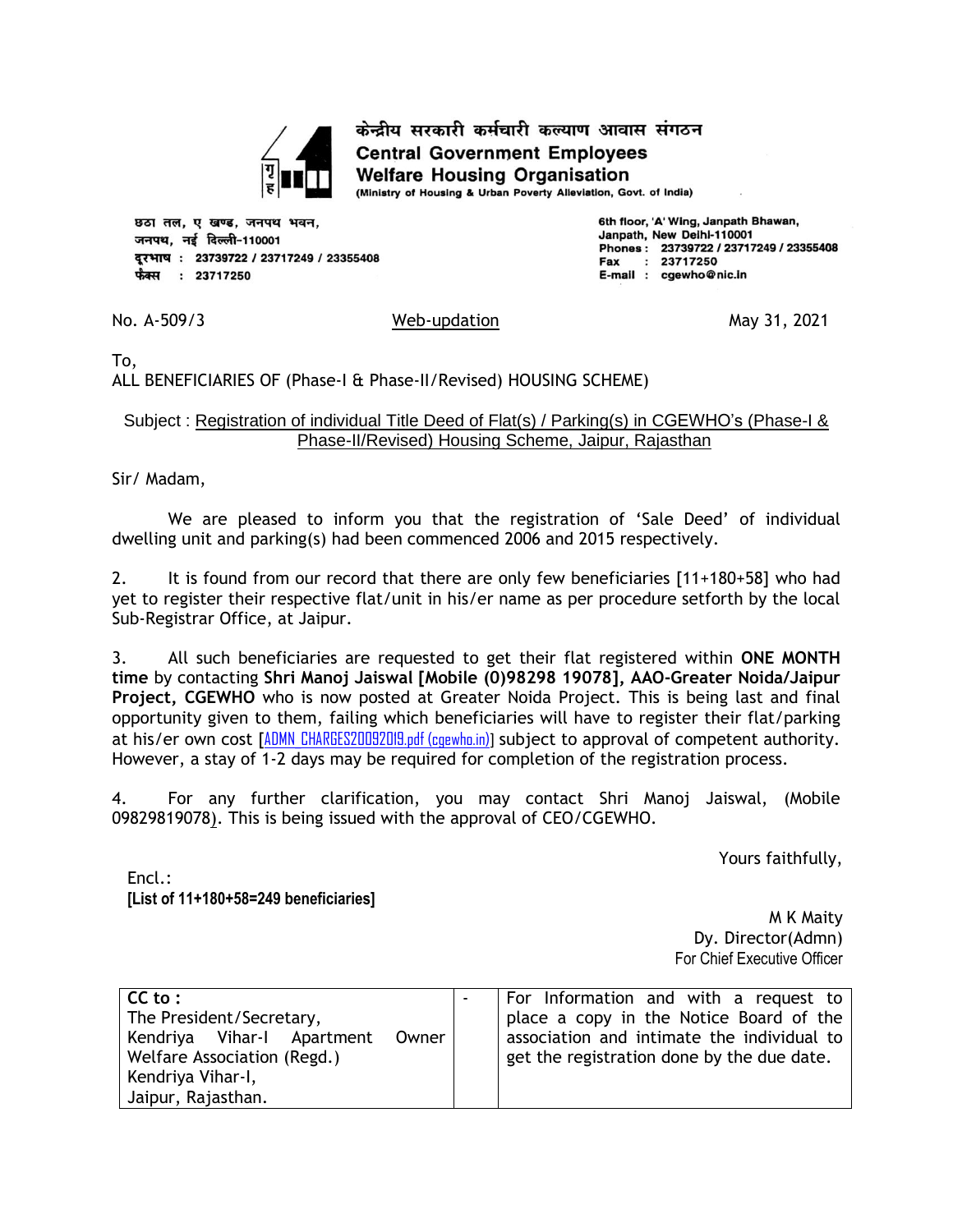

केन्द्रीय सरकारी कर्मचारी कल्याण आवास संगठन **Central Government Employees Welfare Housing Organisation** 

(Ministry of Housing & Urban Poverty Alleviation, Govt. of India)

छठा तल, ए खण्ड, जनपथ भवन, जनपथ, नई दिल्ली-110001 दूरभाष: 23739722 / 23717249 / 23355408 फैक्स : 23717250

6th floor, 'A' Wing, Janpath Bhawan, Janpath, New Delhi-110001 Phones: 23739722 / 23717249 / 23355408  $: 23717250$ Fax E-mail : cgewho@nic.in

No. A-509/3 May 31, 2021

To,

ALL BENEFICIARIES OF (Phase-I & Phase-II/Revised) HOUSING SCHEME)

## Subject : Registration of individual Title Deed of Flat(s) / Parking(s) in CGEWHO's (Phase-I & Phase-II/Revised) Housing Scheme, Jaipur, Rajasthan

Sir/ Madam,

We are pleased to inform you that the registration of 'Sale Deed' of individual dwelling unit and parking(s) had been commenced 2006 and 2015 respectively.

2. It is found from our record that there are only few beneficiaries [11+180+58] who had yet to register their respective flat/unit in his/er name as per procedure setforth by the local Sub-Registrar Office, at Jaipur.

3. All such beneficiaries are requested to get their flat registered within **ONE MONTH time** by contacting **Shri Manoj Jaiswal [Mobile (0)98298 19078], AAO-Greater Noida/Jaipur Project, CGEWHO** who is now posted at Greater Noida Project. This is being last and final opportunity given to them, failing which beneficiaries will have to register their flat/parking at his/er own cost [ADMN CHARGES20092019.pdf (cgewho.in)] subject to approval of competent authority. However, a stay of 1-2 days may be required for completion of the registration process.

4. For any further clarification, you may contact Shri Manoj Jaiswal, (Mobile 09829819078). This is being issued with the approval of CEO/CGEWHO.

Yours faithfully,

Encl.: **[List of 11+180+58=249 beneficiaries]**

M K Maity Dy. Director(Admn) For Chief Executive Officer

| $CC$ to :<br>The President/Secretary,<br>Kendriya Vihar-I Apartment Owner<br>Welfare Association (Regd.)<br>Kendriya Vihar-I, | For Information and with a request to<br>place a copy in the Notice Board of the<br>association and intimate the individual to<br>get the registration done by the due date. |
|-------------------------------------------------------------------------------------------------------------------------------|------------------------------------------------------------------------------------------------------------------------------------------------------------------------------|
| Jaipur, Rajasthan.                                                                                                            |                                                                                                                                                                              |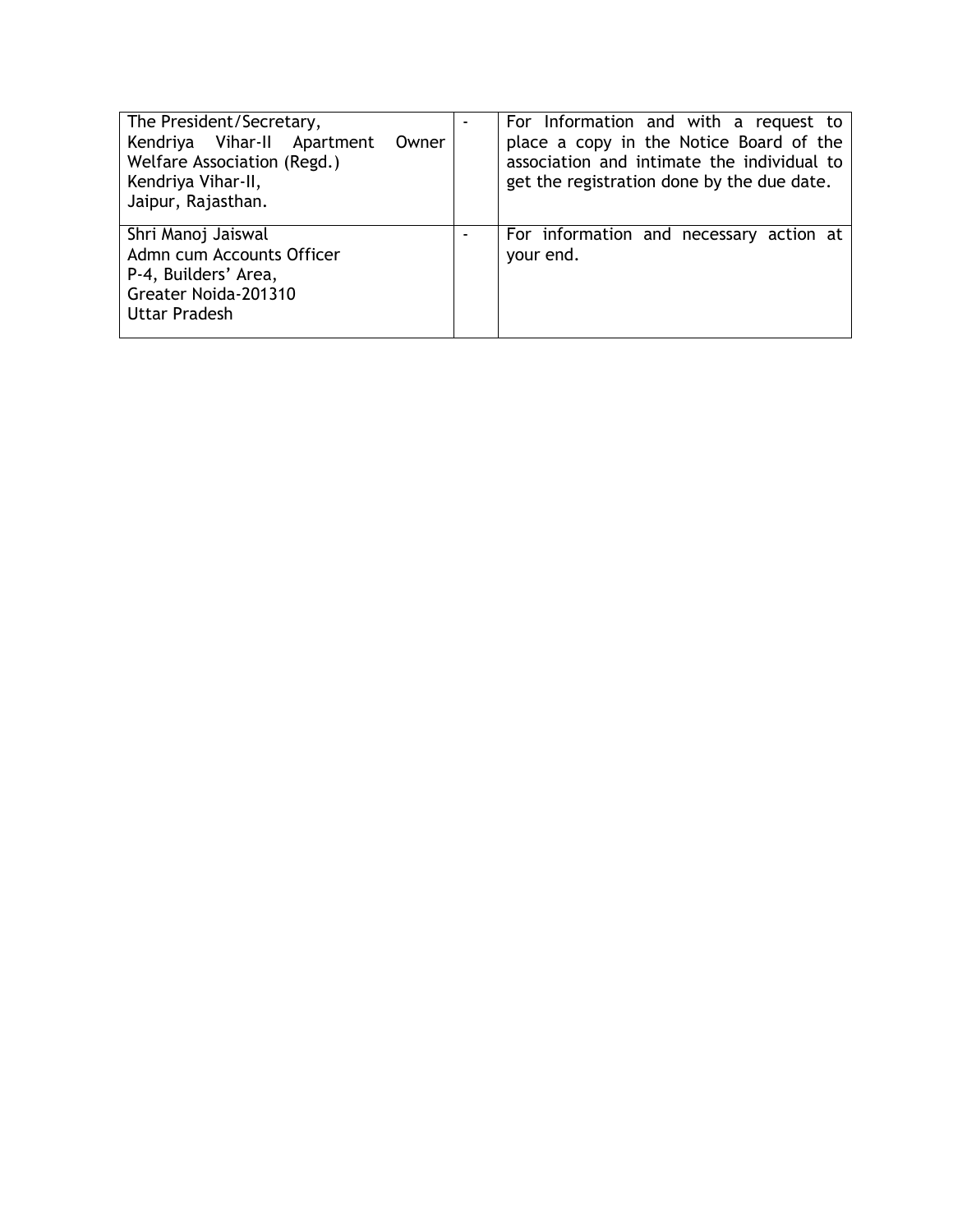| The President/Secretary,<br>Kendriya Vihar-II Apartment<br>Owner<br>Welfare Association (Regd.)<br>Kendriya Vihar-II,<br>Jaipur, Rajasthan. | For Information and with a request to<br>place a copy in the Notice Board of the<br>association and intimate the individual to<br>get the registration done by the due date. |
|---------------------------------------------------------------------------------------------------------------------------------------------|------------------------------------------------------------------------------------------------------------------------------------------------------------------------------|
| Shri Manoj Jaiswal<br>Admn cum Accounts Officer<br>P-4, Builders' Area,<br>Greater Noida-201310<br>Uttar Pradesh                            | For information and necessary action at<br>your end.                                                                                                                         |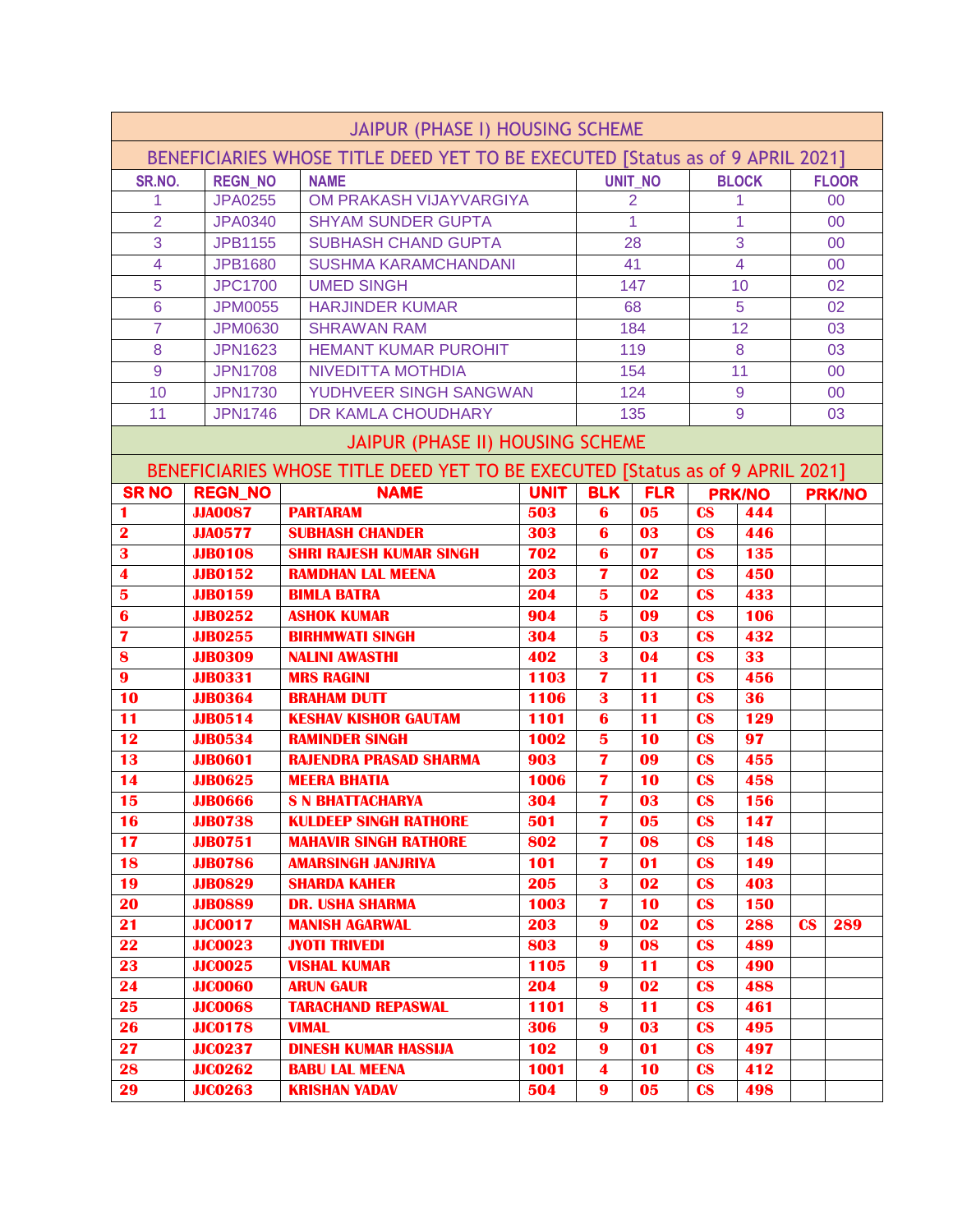|                                                                               | <b>JAIPUR (PHASE I) HOUSING SCHEME</b> |                                                                               |              |                              |                |                                                  |                |                        |               |  |
|-------------------------------------------------------------------------------|----------------------------------------|-------------------------------------------------------------------------------|--------------|------------------------------|----------------|--------------------------------------------------|----------------|------------------------|---------------|--|
| BENEFICIARIES WHOSE TITLE DEED YET TO BE EXECUTED [Status as of 9 APRIL 2021] |                                        |                                                                               |              |                              |                |                                                  |                |                        |               |  |
| SR.NO.                                                                        | <b>REGN NO</b>                         | <b>NAME</b>                                                                   |              |                              | <b>UNIT NO</b> |                                                  | <b>BLOCK</b>   |                        | <b>FLOOR</b>  |  |
| 1                                                                             | <b>JPA0255</b>                         | OM PRAKASH VIJAYVARGIYA                                                       |              |                              | $\overline{2}$ | 1                                                |                |                        | 00            |  |
| $\overline{2}$                                                                | <b>JPA0340</b>                         | <b>SHYAM SUNDER GUPTA</b>                                                     |              |                              | $\mathbf{1}$   |                                                  | 1              |                        | 00            |  |
| 3                                                                             | <b>JPB1155</b>                         | <b>SUBHASH CHAND GUPTA</b>                                                    |              |                              | 28             |                                                  | 3              |                        | 00            |  |
| $\overline{4}$                                                                | <b>JPB1680</b>                         | <b>SUSHMA KARAMCHANDANI</b>                                                   |              |                              | 41             |                                                  | $\overline{4}$ |                        | 00            |  |
| 5                                                                             | <b>JPC1700</b>                         | <b>UMED SINGH</b>                                                             |              |                              | 147            |                                                  | 10             |                        | 02            |  |
| 6                                                                             | <b>JPM0055</b>                         | <b>HARJINDER KUMAR</b>                                                        |              |                              | 68             |                                                  | 5              |                        | 02            |  |
| $\overline{7}$                                                                | <b>JPM0630</b>                         | <b>SHRAWAN RAM</b>                                                            |              |                              | 184            |                                                  | 12             |                        | 03            |  |
| 8                                                                             | <b>JPN1623</b>                         | <b>HEMANT KUMAR PUROHIT</b>                                                   |              |                              | 119            |                                                  | 8              |                        | 03            |  |
| 9                                                                             | <b>JPN1708</b>                         | <b>NIVEDITTA MOTHDIA</b>                                                      |              |                              | 154            |                                                  | 11             |                        | 00            |  |
| 10                                                                            | <b>JPN1730</b>                         | YUDHVEER SINGH SANGWAN                                                        |              |                              | 124            |                                                  | 9              |                        | 00            |  |
| 11                                                                            | <b>JPN1746</b>                         | DR KAMLA CHOUDHARY                                                            |              |                              | 135            |                                                  | 9              |                        | 03            |  |
|                                                                               |                                        | JAIPUR (PHASE II) HOUSING SCHEME                                              |              |                              |                |                                                  |                |                        |               |  |
|                                                                               |                                        | BENEFICIARIES WHOSE TITLE DEED YET TO BE EXECUTED [Status as of 9 APRIL 2021] |              |                              |                |                                                  |                |                        |               |  |
| <b>SRNO</b>                                                                   | <b>REGN_NO</b>                         | <b>NAME</b>                                                                   | <b>UNIT</b>  | <b>BLK</b>                   | <b>FLR</b>     |                                                  | <b>PRK/NO</b>  |                        | <b>PRK/NO</b> |  |
| 1                                                                             | <b>JJA0087</b>                         | <b>PARTARAM</b>                                                               | 503          | 6                            | 05             | $\mathbf{c}\mathbf{s}$                           | 444            |                        |               |  |
| $\overline{\mathbf{2}}$                                                       | <b>JJA0577</b>                         | <b>SUBHASH CHANDER</b>                                                        | 303          | $\bf{6}$                     | 03             | $\mathbf{c}\mathbf{s}$                           | 446            |                        |               |  |
| 3                                                                             | <b>JJB0108</b>                         | <b>SHRI RAJESH KUMAR SINGH</b>                                                | 702          | 6                            | 07             | $\mathbf{c}\mathbf{s}$                           | 135            |                        |               |  |
| $\overline{\mathbf{4}}$                                                       | <b>JJB0152</b>                         | <b>RAMDHAN LAL MEENA</b>                                                      | 203          | 7                            | 02             | $\mathbf{c}\mathbf{s}$                           | 450            |                        |               |  |
| $\overline{\mathbf{5}}$                                                       | <b>JJB0159</b>                         | <b>BIMLA BATRA</b>                                                            | 204          | 5                            | 02             | $\mathbf{c}\mathbf{s}$                           | 433            |                        |               |  |
| 6                                                                             | <b>JJB0252</b>                         | <b>ASHOK KUMAR</b>                                                            | 904          | 5                            | 09             | $\mathbf{c}\mathbf{s}$                           | 106            |                        |               |  |
| $\overline{\mathbf{z}}$                                                       | <b>JJB0255</b>                         | <b>BIRHMWATI SINGH</b>                                                        | 304          | 5                            | 03             | $\mathbf{c}\mathbf{s}$                           | 432            |                        |               |  |
| 8                                                                             | <b>JJB0309</b>                         | <b>NALINI AWASTHI</b>                                                         | 402          | $\overline{\mathbf{3}}$      | 04             | $\mathbf{c}\mathbf{s}$                           | 33             |                        |               |  |
| $\boldsymbol{9}$                                                              | <b>JJB0331</b>                         | <b>MRS RAGINI</b>                                                             | 1103         | 7                            | 11             | $\mathbf{c}\mathbf{s}$                           | 456            |                        |               |  |
| 10                                                                            | <b>JJB0364</b>                         | <b>BRAHAM DUTT</b>                                                            | 1106         | 3                            | 11             | $\mathbf{c}\mathbf{s}$                           | 36             |                        |               |  |
| 11<br>12                                                                      | <b>JJB0514</b><br><b>JJB0534</b>       | <b>KESHAV KISHOR GAUTAM</b><br><b>RAMINDER SINGH</b>                          | 1101<br>1002 | 6<br>$\overline{\mathbf{5}}$ | 11<br>10       | $\mathbf{c}\mathbf{s}$<br>$\mathbf{c}\mathbf{s}$ | 129<br>97      |                        |               |  |
| 13                                                                            | <b>JJB0601</b>                         | <b>RAJENDRA PRASAD SHARMA</b>                                                 | 903          | 7                            | 09             | $\mathbf{c}\mathbf{s}$                           | 455            |                        |               |  |
| 14                                                                            | <b>JJB0625</b>                         | <b>MEERA BHATIA</b>                                                           | 1006         | 7                            | 10             | $\mathbf{c}\mathbf{s}$                           | 458            |                        |               |  |
| 15                                                                            | <b>JJB0666</b>                         | <b>S N BHATTACHARYA</b>                                                       | 304          | $\overline{\mathbf{z}}$      | 03             | $\mathbf{c}\mathbf{s}$                           | 156            |                        |               |  |
| 16                                                                            | <b>JJB0738</b>                         | <b>KULDEEP SINGH RATHORE</b>                                                  | 501          | 7                            | 05             | $\mathbf{c}\mathbf{s}$                           | 147            |                        |               |  |
| $\overline{17}$                                                               | <b>JJB0751</b>                         | <b>MAHAVIR SINGH RATHORE</b>                                                  | 802          | $\mathbf{7}$                 | 08             | $\mathbf{c}\mathbf{s}$                           | 148            |                        |               |  |
| 18                                                                            | <b>JJB0786</b>                         | <b>AMARSINGH JANJRIYA</b>                                                     | 101          | 7                            | 01             | $\mathbf{c}\mathbf{s}$                           | 149            |                        |               |  |
| 19                                                                            | <b>JJB0829</b>                         | <b>SHARDA KAHER</b>                                                           | 205          | 3                            | 02             | $\mathbf{c}\mathbf{s}$                           | 403            |                        |               |  |
| 20                                                                            | <b>JJB0889</b>                         | <b>DR. USHA SHARMA</b>                                                        | 1003         | $\overline{\mathbf{z}}$      | 10             | $\mathbf{c}\mathbf{s}$                           | 150            |                        |               |  |
| 21                                                                            | <b>JJC0017</b>                         | <b>MANISH AGARWAL</b>                                                         | 203          | $\boldsymbol{9}$             | 02             | $\mathbf{c}\mathbf{s}$                           | 288            | $\mathbf{c}\mathbf{s}$ | 289           |  |
| 22                                                                            | <b>JJC0023</b>                         | <b>JYOTI TRIVEDI</b>                                                          | 803          | $\boldsymbol{9}$             | 08             | $\mathbf{c}\mathbf{s}$                           | 489            |                        |               |  |
| 23                                                                            | <b>JJC0025</b>                         | <b>VISHAL KUMAR</b>                                                           | 1105         | $\boldsymbol{9}$             | 11             | $\mathbf{c}\mathbf{s}$                           | 490            |                        |               |  |
| 24                                                                            | <b>JJC0060</b>                         | <b>ARUN GAUR</b>                                                              | 204          | $\boldsymbol{9}$             | 02             | $\mathbf{c}\mathbf{s}$                           | 488            |                        |               |  |
| 25                                                                            | <b>JJC0068</b>                         | <b>TARACHAND REPASWAL</b>                                                     | 1101         | 8                            | 11             | $\mathbf{c}\mathbf{s}$                           | 461            |                        |               |  |
| 26                                                                            | <b>JJC0178</b>                         | <b>VIMAL</b>                                                                  | 306          | $\boldsymbol{9}$             | 03             | $\mathbf{c}\mathbf{s}$                           | 495            |                        |               |  |
| 27                                                                            | <b>JJC0237</b>                         | <b>DINESH KUMAR HASSIJA</b>                                                   | 102          | $\boldsymbol{9}$             | 01             | $\mathbf{c}\mathbf{s}$                           | 497            |                        |               |  |
| 28                                                                            | <b>JJC0262</b>                         | <b>BABU LAL MEENA</b>                                                         | 1001         | $\overline{\mathbf{4}}$      | 10             | $\mathbf{c}\mathbf{s}$                           | 412            |                        |               |  |
| 29                                                                            | <b>JJC0263</b>                         | <b>KRISHAN YADAV</b>                                                          | 504          | $\boldsymbol{9}$             | 05             | $\mathbf{c}\mathbf{s}$                           | 498            |                        |               |  |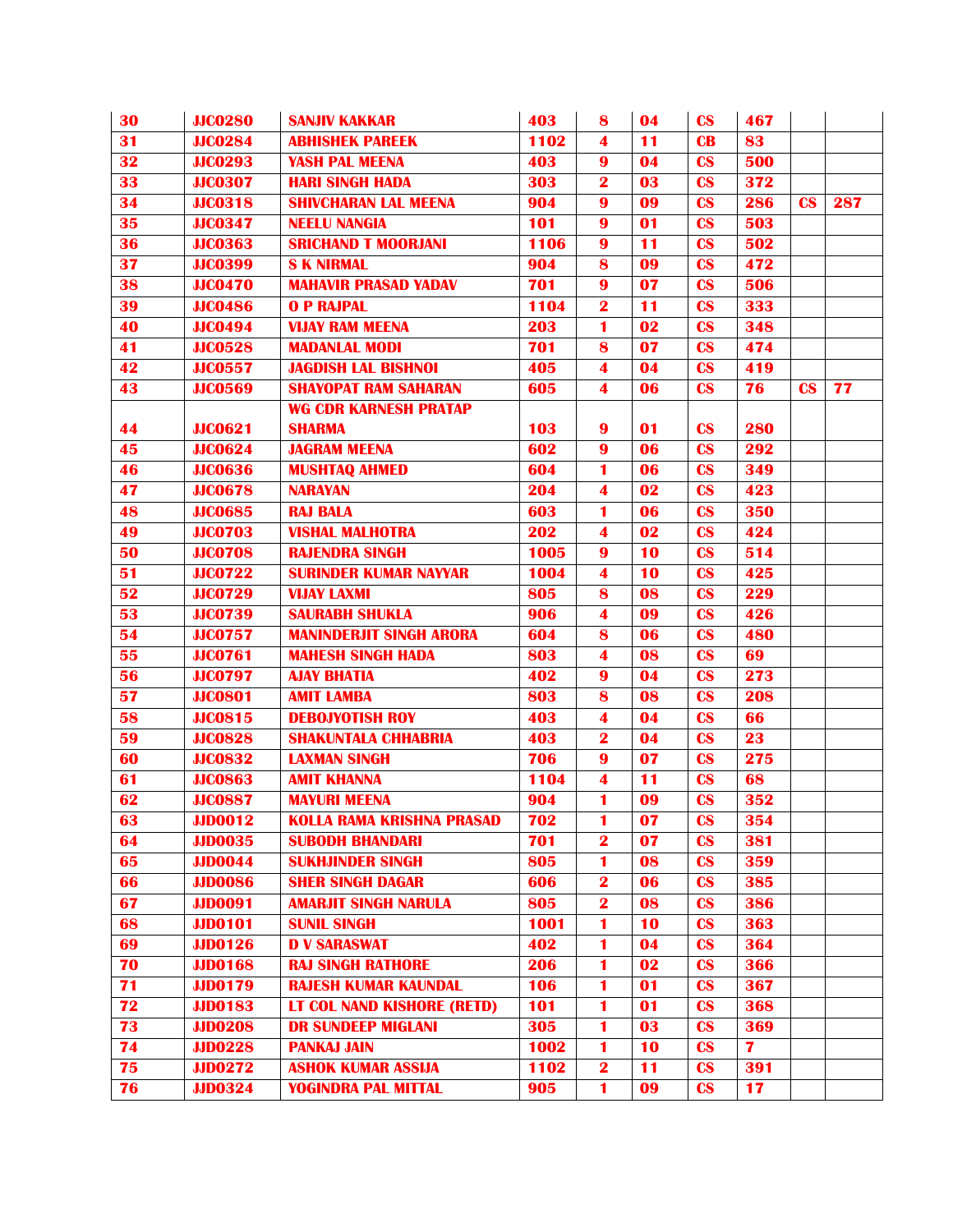| 30 | <b>JJC0280</b> | <b>SANJIV KAKKAR</b>              | 403  | 8                       | 04              | $\mathbf{c}\mathbf{s}$ | 467 |                        |     |
|----|----------------|-----------------------------------|------|-------------------------|-----------------|------------------------|-----|------------------------|-----|
| 31 | <b>JJC0284</b> | <b>ABHISHEK PAREEK</b>            | 1102 | 4                       | 11              | $\mathbf{C}\mathbf{B}$ | 83  |                        |     |
| 32 | <b>JJC0293</b> | <b>YASH PAL MEENA</b>             | 403  | 9                       | 04              | $\mathbf{c}\mathbf{s}$ | 500 |                        |     |
| 33 | <b>JJC0307</b> | <b>HARI SINGH HADA</b>            | 303  | $\overline{\mathbf{2}}$ | 03              | $\mathbf{c}\mathbf{s}$ | 372 |                        |     |
| 34 | <b>JJC0318</b> | <b>SHIVCHARAN LAL MEENA</b>       | 904  | $\boldsymbol{9}$        | 09              | $\mathbf{c}\mathbf{s}$ | 286 | $\mathbf{c}\mathbf{s}$ | 287 |
| 35 | <b>JJC0347</b> | <b>NEELU NANGIA</b>               | 101  | $\boldsymbol{9}$        | 01              | $\mathbf{c}\mathbf{s}$ | 503 |                        |     |
| 36 | <b>JJC0363</b> | <b>SRICHAND T MOORJANI</b>        | 1106 | $\boldsymbol{9}$        | 11              | $\mathbf{c}\mathbf{s}$ | 502 |                        |     |
| 37 | <b>JJC0399</b> | <b>S K NIRMAL</b>                 | 904  | 8                       | 09              | $\mathbf{c}\mathbf{s}$ | 472 |                        |     |
| 38 | <b>JJC0470</b> | <b>MAHAVIR PRASAD YADAV</b>       | 701  | $\overline{\mathbf{9}}$ | $\overline{07}$ | $\mathbf{c}\mathbf{s}$ | 506 |                        |     |
| 39 | <b>JJC0486</b> | <b>O P RAJPAL</b>                 | 1104 | $\overline{\mathbf{2}}$ | 11              | $\mathbf{c}\mathbf{s}$ | 333 |                        |     |
| 40 | <b>JJC0494</b> | <b>VIJAY RAM MEENA</b>            | 203  | 1                       | 02              | $\mathbf{c}\mathbf{s}$ | 348 |                        |     |
| 41 | <b>JJC0528</b> | <b>MADANLAL MODI</b>              | 701  | 8                       | 07              | $\mathbf{c}\mathbf{s}$ | 474 |                        |     |
| 42 | <b>JJC0557</b> | <b>JAGDISH LAL BISHNOI</b>        | 405  | $\blacktriangleleft$    | 04              | $\mathbf{c}\mathbf{s}$ | 419 |                        |     |
| 43 | <b>JJC0569</b> | <b>SHAYOPAT RAM SAHARAN</b>       | 605  | $\overline{\mathbf{4}}$ | 06              | $\mathbf{c}\mathbf{s}$ | 76  | $\overline{\text{cs}}$ | 77  |
|    |                | <b>WG CDR KARNESH PRATAP</b>      |      |                         |                 |                        |     |                        |     |
| 44 | <b>JJC0621</b> | <b>SHARMA</b>                     | 103  | $\boldsymbol{9}$        | 01              | $\mathbf{c}\mathbf{s}$ | 280 |                        |     |
| 45 | <b>JJC0624</b> | <b>JAGRAM MEENA</b>               | 602  | 9                       | 06              | $\mathbf{c}\mathbf{s}$ | 292 |                        |     |
| 46 | <b>JJC0636</b> | <b>MUSHTAQ AHMED</b>              | 604  | 1                       | 06              | $\mathbf{c}\mathbf{s}$ | 349 |                        |     |
| 47 | <b>JJC0678</b> | <b>NARAYAN</b>                    | 204  | $\overline{\mathbf{4}}$ | 02              | $\mathbf{c}\mathbf{s}$ | 423 |                        |     |
| 48 | <b>JJC0685</b> | <b>RAJ BALA</b>                   | 603  | 1                       | 06              | $\mathbf{c}\mathbf{s}$ | 350 |                        |     |
| 49 | <b>JJC0703</b> | <b>VISHAL MALHOTRA</b>            | 202  | $\blacktriangleleft$    | 02              | $\mathbf{c}\mathbf{s}$ | 424 |                        |     |
| 50 | <b>JJC0708</b> | <b>RAJENDRA SINGH</b>             | 1005 | 9                       | 10              | $\mathbf{c}\mathbf{s}$ | 514 |                        |     |
| 51 | <b>JJC0722</b> | <b>SURINDER KUMAR NAYYAR</b>      | 1004 | $\blacktriangleleft$    | 10              | $\mathbf{c}\mathbf{s}$ | 425 |                        |     |
| 52 | <b>JJC0729</b> | <b>VIJAY LAXMI</b>                | 805  | 8                       | 08              | $\mathbf{c}\mathbf{s}$ | 229 |                        |     |
| 53 | <b>JJC0739</b> | <b>SAURABH SHUKLA</b>             | 906  | $\overline{\mathbf{4}}$ | 09              | $\mathbf{c}\mathbf{s}$ | 426 |                        |     |
| 54 | <b>JJC0757</b> | <b>MANINDERJIT SINGH ARORA</b>    | 604  | 8                       | 06              | $\mathbf{c}\mathbf{s}$ | 480 |                        |     |
| 55 | <b>JJC0761</b> | <b>MAHESH SINGH HADA</b>          | 803  | 4                       | 08              | $\mathbf{c}\mathbf{s}$ | 69  |                        |     |
| 56 | <b>JJC0797</b> | <b>AJAY BHATIA</b>                | 402  | $\boldsymbol{9}$        | 04              | $\mathbf{c}\mathbf{s}$ | 273 |                        |     |
| 57 | <b>JJC0801</b> | <b>AMIT LAMBA</b>                 | 803  | 8                       | 08              | $\mathbf{c}\mathbf{s}$ | 208 |                        |     |
| 58 | <b>JJC0815</b> | <b>DEBOJYOTISH ROY</b>            | 403  | $\overline{\mathbf{4}}$ | 04              | $\mathbf{c}\mathbf{s}$ | 66  |                        |     |
| 59 | <b>JJC0828</b> | <b>SHAKUNTALA CHHABRIA</b>        | 403  | $\overline{\mathbf{2}}$ | 04              | $\mathbf{c}\mathbf{s}$ | 23  |                        |     |
| 60 | <b>JJC0832</b> | <b>LAXMAN SINGH</b>               | 706  | $\boldsymbol{9}$        | 07              | $\mathbf{c}\mathbf{s}$ | 275 |                        |     |
| 61 | <b>JJC0863</b> | <b>AMIT KHANNA</b>                | 1104 | $\overline{\mathbf{4}}$ | 11              | $\mathbf{c}\mathbf{s}$ | 68  |                        |     |
| 62 | <b>JJC0887</b> | <b>MAYURI MEENA</b>               | 904  | $\blacksquare$          | 09              | $\mathbf{c}\mathbf{s}$ | 352 |                        |     |
| 63 | <b>JJD0012</b> | <b>KOLLA RAMA KRISHNA PRASAD</b>  | 702  | 1                       | 07              | $\mathbf{c}\mathbf{s}$ | 354 |                        |     |
| 64 | <b>JJD0035</b> | <b>SUBODH BHANDARI</b>            | 701  | $\bf{2}$                | 07              | $\mathbf{c}\mathbf{s}$ | 381 |                        |     |
| 65 | <b>JJD0044</b> | <b>SUKHJINDER SINGH</b>           | 805  | $\blacksquare$          | 08              | $\mathbf{c}\mathbf{s}$ | 359 |                        |     |
| 66 | <b>JJD0086</b> | <b>SHER SINGH DAGAR</b>           | 606  | $\mathbf{2}$            | 06              | $\mathbf{c}\mathbf{s}$ | 385 |                        |     |
| 67 | <b>JJD0091</b> | <b>AMARJIT SINGH NARULA</b>       | 805  | $\overline{\mathbf{2}}$ | 08              | $\mathbf{c}\mathbf{s}$ | 386 |                        |     |
| 68 | <b>JJD0101</b> | <b>SUNIL SINGH</b>                | 1001 | 1                       | 10              | $\mathbf{c}\mathbf{s}$ | 363 |                        |     |
| 69 | <b>JJD0126</b> | <b>D V SARASWAT</b>               | 402  | 1                       | 04              | $\mathbf{c}\mathbf{s}$ | 364 |                        |     |
| 70 | <b>JJD0168</b> | <b>RAJ SINGH RATHORE</b>          | 206  | 1                       | 02              | $\mathbf{c}\mathbf{s}$ | 366 |                        |     |
| 71 | <b>JJD0179</b> | <b>RAJESH KUMAR KAUNDAL</b>       | 106  | $\blacksquare$          | 01              | $\mathbf{c}\mathbf{s}$ | 367 |                        |     |
| 72 | <b>JJD0183</b> | <b>LT COL NAND KISHORE (RETD)</b> | 101  | 1                       | 01              | $\mathbf{c}\mathbf{s}$ | 368 |                        |     |
| 73 | <b>JJD0208</b> | <b>DR SUNDEEP MIGLANI</b>         | 305  | 1                       | 03              | $\mathbf{c}\mathbf{s}$ | 369 |                        |     |
| 74 | <b>JJD0228</b> | <b>PANKAJ JAIN</b>                | 1002 | $\blacksquare$          | 10              | $\mathbf{c}\mathbf{s}$ | 7   |                        |     |
| 75 | <b>JJD0272</b> | <b>ASHOK KUMAR ASSIJA</b>         | 1102 | $\overline{\mathbf{2}}$ | 11              | $\mathbf{c}\mathbf{s}$ | 391 |                        |     |
| 76 | <b>JJD0324</b> | <b>YOGINDRA PAL MITTAL</b>        | 905  | 1                       | 09              | $\mathbf{c}\mathbf{s}$ | 17  |                        |     |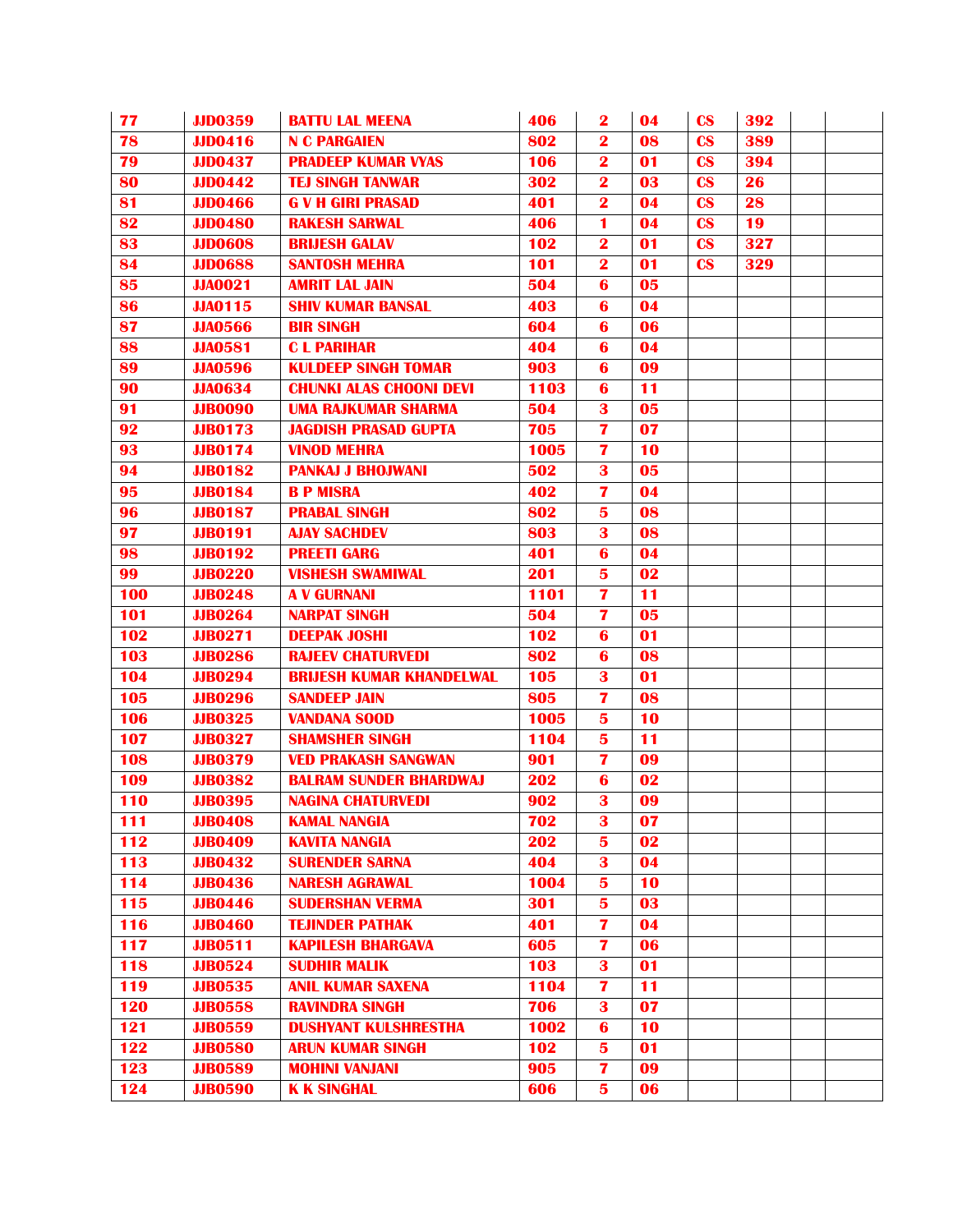| 77         | <b>JJD0359</b> | <b>BATTU LAL MEENA</b>          | 406  | $\mathbf{2}$            | 04 | $\mathbf{c}\mathbf{s}$ | 392 |  |
|------------|----------------|---------------------------------|------|-------------------------|----|------------------------|-----|--|
| 78         | <b>JJD0416</b> | <b>N C PARGAIEN</b>             | 802  | $\mathbf 2$             | 08 | $\mathbf{c}\mathbf{s}$ | 389 |  |
| 79         | <b>JJD0437</b> | <b>PRADEEP KUMAR VYAS</b>       | 106  | $\overline{\mathbf{2}}$ | 01 | $\mathbf{c}\mathbf{s}$ | 394 |  |
| 80         | <b>JJD0442</b> | <b>TEJ SINGH TANWAR</b>         | 302  | $\overline{\mathbf{2}}$ | 03 | $\mathbf{c}\mathbf{s}$ | 26  |  |
| 81         | <b>JJD0466</b> | <b>G V H GIRI PRASAD</b>        | 401  | $\overline{\mathbf{2}}$ | 04 | $\mathbf{c}\mathbf{s}$ | 28  |  |
| 82         | <b>JJD0480</b> | <b>RAKESH SARWAL</b>            | 406  | 1                       | 04 | $\mathbf{c}\mathbf{s}$ | 19  |  |
| 83         | <b>JJD0608</b> | <b>BRIJESH GALAV</b>            | 102  | $\bf{2}$                | 01 | $\mathbf{c}\mathbf{s}$ | 327 |  |
| 84         | <b>JJD0688</b> | <b>SANTOSH MEHRA</b>            | 101  | $\mathbf{2}$            | 01 | $\mathbf{c}\mathbf{s}$ | 329 |  |
| 85         | <b>JJA0021</b> | <b>AMRIT LAL JAIN</b>           | 504  | 6                       | 05 |                        |     |  |
| 86         | <b>JJA0115</b> | <b>SHIV KUMAR BANSAL</b>        | 403  | 6                       | 04 |                        |     |  |
| 87         | <b>JJA0566</b> | <b>BIR SINGH</b>                | 604  | 6                       | 06 |                        |     |  |
| 88         | <b>JJA0581</b> | <b>CLPARIHAR</b>                | 404  | 6                       | 04 |                        |     |  |
| 89         | <b>JJA0596</b> | <b>KULDEEP SINGH TOMAR</b>      | 903  | 6                       | 09 |                        |     |  |
| 90         | <b>JJA0634</b> | <b>CHUNKI ALAS CHOONI DEVI</b>  | 1103 | 6                       | 11 |                        |     |  |
| 91         | <b>JJB0090</b> | <b>UMA RAJKUMAR SHARMA</b>      | 504  | 3                       | 05 |                        |     |  |
| 92         | <b>JJB0173</b> | <b>JAGDISH PRASAD GUPTA</b>     | 705  | 7                       | 07 |                        |     |  |
| 93         | <b>JJB0174</b> | <b>VINOD MEHRA</b>              | 1005 | 7                       | 10 |                        |     |  |
| 94         | <b>JJB0182</b> | <b>PANKAJ J BHOJWANI</b>        | 502  | 3                       | 05 |                        |     |  |
| 95         | <b>JJB0184</b> | <b>B P MISRA</b>                | 402  | 7                       | 04 |                        |     |  |
| 96         | <b>JJB0187</b> | <b>PRABAL SINGH</b>             | 802  | 5                       | 08 |                        |     |  |
| 97         | <b>JJB0191</b> | <b>AJAY SACHDEV</b>             | 803  | 3                       | 08 |                        |     |  |
| 98         | <b>JJB0192</b> | <b>PREETI GARG</b>              | 401  | $\bf{6}$                | 04 |                        |     |  |
| 99         | <b>JJB0220</b> | <b>VISHESH SWAMIWAL</b>         | 201  | 5                       | 02 |                        |     |  |
| 100        | <b>JJB0248</b> | <b>A V GURNANI</b>              | 1101 | $\overline{\mathbf{z}}$ | 11 |                        |     |  |
| 101        | <b>JJB0264</b> | <b>NARPAT SINGH</b>             | 504  | 7                       | 05 |                        |     |  |
| 102        | <b>JJB0271</b> | <b>DEEPAK JOSHI</b>             | 102  | 6                       | 01 |                        |     |  |
| 103        | <b>JJB0286</b> | <b>RAJEEV CHATURVEDI</b>        | 802  | 6                       | 08 |                        |     |  |
| 104        | <b>JJB0294</b> | <b>BRIJESH KUMAR KHANDELWAL</b> | 105  | 3                       | 01 |                        |     |  |
| 105        | <b>JJB0296</b> | <b>SANDEEP JAIN</b>             | 805  | 7                       | 08 |                        |     |  |
| 106        | <b>JJB0325</b> | <b>VANDANA SOOD</b>             | 1005 | 5                       | 10 |                        |     |  |
| 107        | <b>JJB0327</b> | <b>SHAMSHER SINGH</b>           | 1104 | 5                       | 11 |                        |     |  |
| 108        | <b>JJB0379</b> | <b>VED PRAKASH SANGWAN</b>      | 901  | $\overline{\mathbf{z}}$ | 09 |                        |     |  |
| 109        | <b>JJB0382</b> | <b>BALRAM SUNDER BHARDWAJ</b>   | 202  | 6                       | 02 |                        |     |  |
| <b>110</b> | <b>JJB0395</b> | <b>NAGINA CHATURVEDI</b>        | 902  | 3                       | 09 |                        |     |  |
| 111        | <b>JJB0408</b> | <b>KAMAL NANGIA</b>             | 702  | 3                       | 07 |                        |     |  |
| 112        | <b>JJB0409</b> | <b>KAVITA NANGIA</b>            | 202  | $5\phantom{.0}$         | 02 |                        |     |  |
| 113        | <b>JJB0432</b> | <b>SURENDER SARNA</b>           | 404  | 3                       | 04 |                        |     |  |
| 114        | <b>JJB0436</b> | <b>NARESH AGRAWAL</b>           | 1004 | 5                       | 10 |                        |     |  |
| 115        | <b>JJB0446</b> | <b>SUDERSHAN VERMA</b>          | 301  | 5                       | 03 |                        |     |  |
| 116        | <b>JJB0460</b> | <b>TEJINDER PATHAK</b>          | 401  | $\overline{\mathbf{z}}$ | 04 |                        |     |  |
| 117        | <b>JJB0511</b> | <b>KAPILESH BHARGAVA</b>        | 605  | 7                       | 06 |                        |     |  |
| 118        | <b>JJB0524</b> | <b>SUDHIR MALIK</b>             | 103  | 3                       | 01 |                        |     |  |
| 119        | <b>JJB0535</b> | <b>ANIL KUMAR SAXENA</b>        | 1104 | $\overline{\mathbf{z}}$ | 11 |                        |     |  |
| 120        | <b>JJB0558</b> | <b>RAVINDRA SINGH</b>           | 706  | 3                       | 07 |                        |     |  |
| 121        | <b>JJB0559</b> | <b>DUSHYANT KULSHRESTHA</b>     | 1002 | 6                       | 10 |                        |     |  |
| 122        | <b>JJB0580</b> | <b>ARUN KUMAR SINGH</b>         | 102  | 5                       | 01 |                        |     |  |
| 123        | <b>JJB0589</b> | <b>MOHINI VANJANI</b>           | 905  | $\overline{\mathbf{z}}$ | 09 |                        |     |  |
| 124        | <b>JJB0590</b> | <b>K K SINGHAL</b>              | 606  | 5                       | 06 |                        |     |  |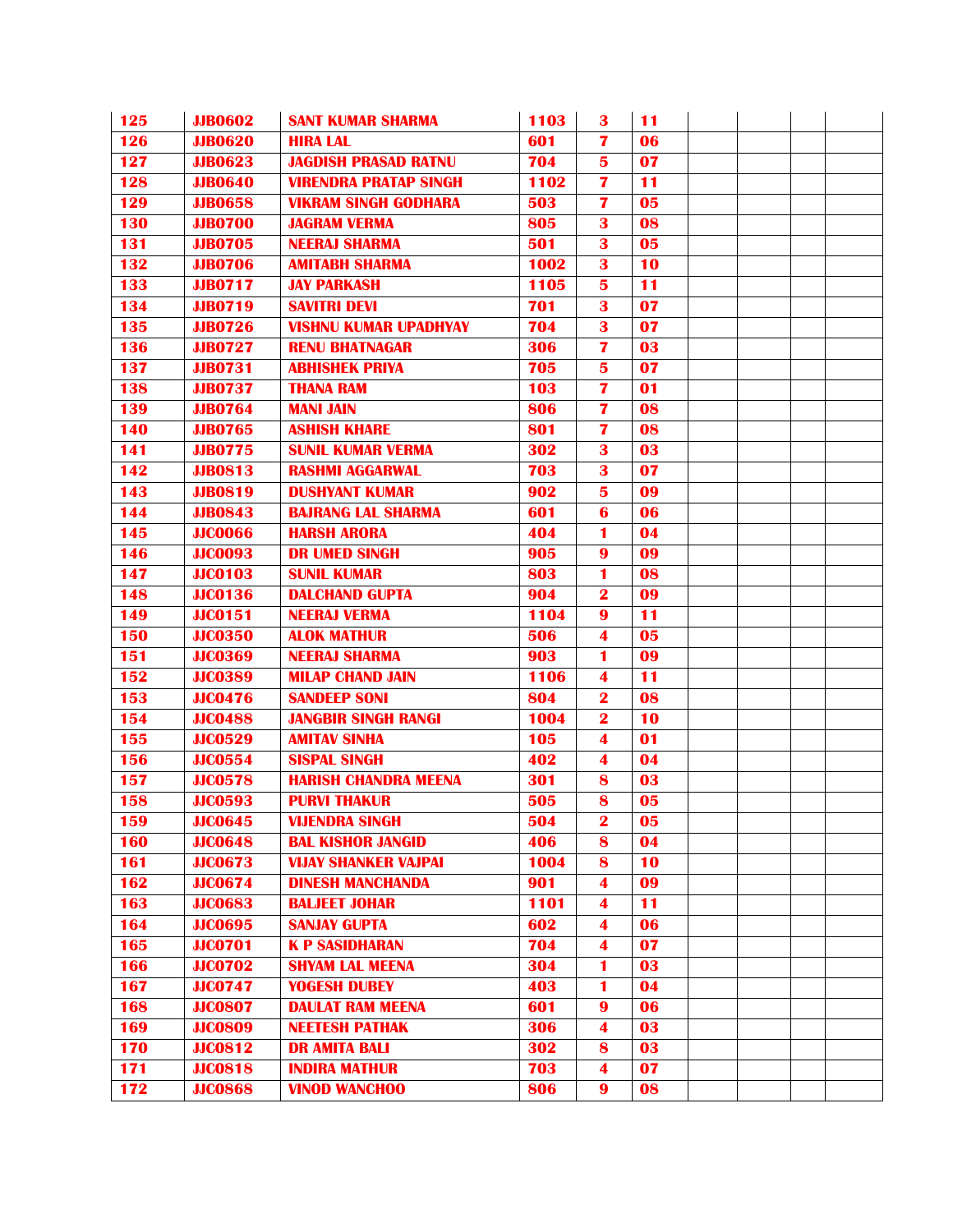| 125              | <b>JJB0602</b> | <b>SANT KUMAR SHARMA</b>     | 1103 | 3                       | 11 |  |  |
|------------------|----------------|------------------------------|------|-------------------------|----|--|--|
| 126              | <b>JJB0620</b> | <b>HIRA LAL</b>              | 601  | 7                       | 06 |  |  |
| 127              | <b>JJB0623</b> | <b>JAGDISH PRASAD RATNU</b>  | 704  | 5                       | 07 |  |  |
| 128              | <b>JJB0640</b> | <b>VIRENDRA PRATAP SINGH</b> | 1102 | $\overline{7}$          | 11 |  |  |
| 129              | <b>JJB0658</b> | <b>VIKRAM SINGH GODHARA</b>  | 503  | $\overline{\mathbf{z}}$ | 05 |  |  |
| 130              | <b>JJB0700</b> | <b>JAGRAM VERMA</b>          | 805  | 3                       | 08 |  |  |
| 131              | <b>JJB0705</b> | <b>NEERAJ SHARMA</b>         | 501  | 3                       | 05 |  |  |
| 132              | <b>JJB0706</b> | <b>AMITABH SHARMA</b>        | 1002 | 3                       | 10 |  |  |
| 133              | <b>JJB0717</b> | <b>JAY PARKASH</b>           | 1105 | 5                       | 11 |  |  |
| 134              | <b>JJB0719</b> | <b>SAVITRI DEVI</b>          | 701  | 3                       | 07 |  |  |
| 135              | <b>JJB0726</b> | <b>VISHNU KUMAR UPADHYAY</b> | 704  | 3                       | 07 |  |  |
| 136              | <b>JJB0727</b> | <b>RENU BHATNAGAR</b>        | 306  | 7                       | 03 |  |  |
| 137              | <b>JJB0731</b> | <b>ABHISHEK PRIYA</b>        | 705  | 5                       | 07 |  |  |
| 138              | <b>JJB0737</b> | <b>THANA RAM</b>             | 103  | 7                       | 01 |  |  |
| 139              | <b>JJB0764</b> | <b>MANI JAIN</b>             | 806  | 7                       | 08 |  |  |
| 140              | <b>JJB0765</b> | <b>ASHISH KHARE</b>          | 801  | 7                       | 08 |  |  |
| 141              | <b>JJB0775</b> | <b>SUNIL KUMAR VERMA</b>     | 302  | 3                       | 03 |  |  |
| 142              | <b>JJB0813</b> | <b>RASHMI AGGARWAL</b>       | 703  | 3                       | 07 |  |  |
| 143              | <b>JJB0819</b> | <b>DUSHYANT KUMAR</b>        | 902  | 5                       | 09 |  |  |
| 144              | <b>JJB0843</b> | <b>BAJRANG LAL SHARMA</b>    | 601  | 6                       | 06 |  |  |
| 145              | <b>JJC0066</b> | <b>HARSH ARORA</b>           | 404  | 1                       | 04 |  |  |
| 146              | <b>JJC0093</b> | <b>DR UMED SINGH</b>         | 905  | 9                       | 09 |  |  |
| $\overline{147}$ | <b>JJC0103</b> | <b>SUNIL KUMAR</b>           | 803  | 1                       | 08 |  |  |
| 148              | <b>JJC0136</b> | <b>DALCHAND GUPTA</b>        | 904  | $\overline{\mathbf{2}}$ | 09 |  |  |
| 149              | <b>JJC0151</b> | <b>NEERAJ VERMA</b>          | 1104 | 9                       | 11 |  |  |
| 150              | <b>JJC0350</b> | <b>ALOK MATHUR</b>           | 506  | 4                       | 05 |  |  |
| 151              | <b>JJC0369</b> | <b>NEERAJ SHARMA</b>         | 903  | 1                       | 09 |  |  |
| 152              | <b>JJC0389</b> | <b>MILAP CHAND JAIN</b>      | 1106 | 4                       | 11 |  |  |
| 153              | <b>JJC0476</b> | <b>SANDEEP SONI</b>          | 804  | $\overline{\mathbf{2}}$ | 08 |  |  |
| 154              | <b>JJC0488</b> | <b>JANGBIR SINGH RANGI</b>   | 1004 | $\bf{2}$                | 10 |  |  |
| 155              | <b>JJC0529</b> | <b>AMITAV SINHA</b>          | 105  | 4                       | 01 |  |  |
| 156              | <b>JJC0554</b> | <b>SISPAL SINGH</b>          | 402  | $\overline{\mathbf{4}}$ | 04 |  |  |
| 157              | <b>JJC0578</b> | <b>HARISH CHANDRA MEENA</b>  | 301  | 8                       | 03 |  |  |
| 158              | <b>JJC0593</b> | <b>PURVI THAKUR</b>          | 505  | 8                       | 05 |  |  |
| 159              | <b>JJC0645</b> | <b>VIJENDRA SINGH</b>        | 504  | $\mathbf 2$             | 05 |  |  |
| 160              | <b>JJC0648</b> | <b>BAL KISHOR JANGID</b>     | 406  | 8                       | 04 |  |  |
| 161              | <b>JJC0673</b> | <b>VIJAY SHANKER VAJPAI</b>  | 1004 | 8                       | 10 |  |  |
| 162              | <b>JJC0674</b> | <b>DINESH MANCHANDA</b>      | 901  | 4                       | 09 |  |  |
| 163              | <b>JJC0683</b> | <b>BALJEET JOHAR</b>         | 1101 | 4                       | 11 |  |  |
| 164              | <b>JJC0695</b> | <b>SANJAY GUPTA</b>          | 602  | 4                       | 06 |  |  |
| 165              | <b>JJC0701</b> | <b>K P SASIDHARAN</b>        | 704  | $\blacktriangleleft$    | 07 |  |  |
| 166              | <b>JJC0702</b> | <b>SHYAM LAL MEENA</b>       | 304  | 1                       | 03 |  |  |
| 167              | <b>JJC0747</b> | <b>YOGESH DUBEY</b>          | 403  | 1                       | 04 |  |  |
| 168              | <b>JJC0807</b> | <b>DAULAT RAM MEENA</b>      | 601  | $\boldsymbol{9}$        | 06 |  |  |
| 169              | <b>JJC0809</b> | <b>NEETESH PATHAK</b>        | 306  | 4                       | 03 |  |  |
| 170              | <b>JJC0812</b> | <b>DR AMITA BALI</b>         | 302  | 8                       | 03 |  |  |
| $\overline{171}$ | <b>JJC0818</b> | <b>INDIRA MATHUR</b>         | 703  | $\overline{\mathbf{4}}$ | 07 |  |  |
| 172              | <b>JJC0868</b> | <b>VINOD WANCHOO</b>         | 806  | $\boldsymbol{9}$        | 08 |  |  |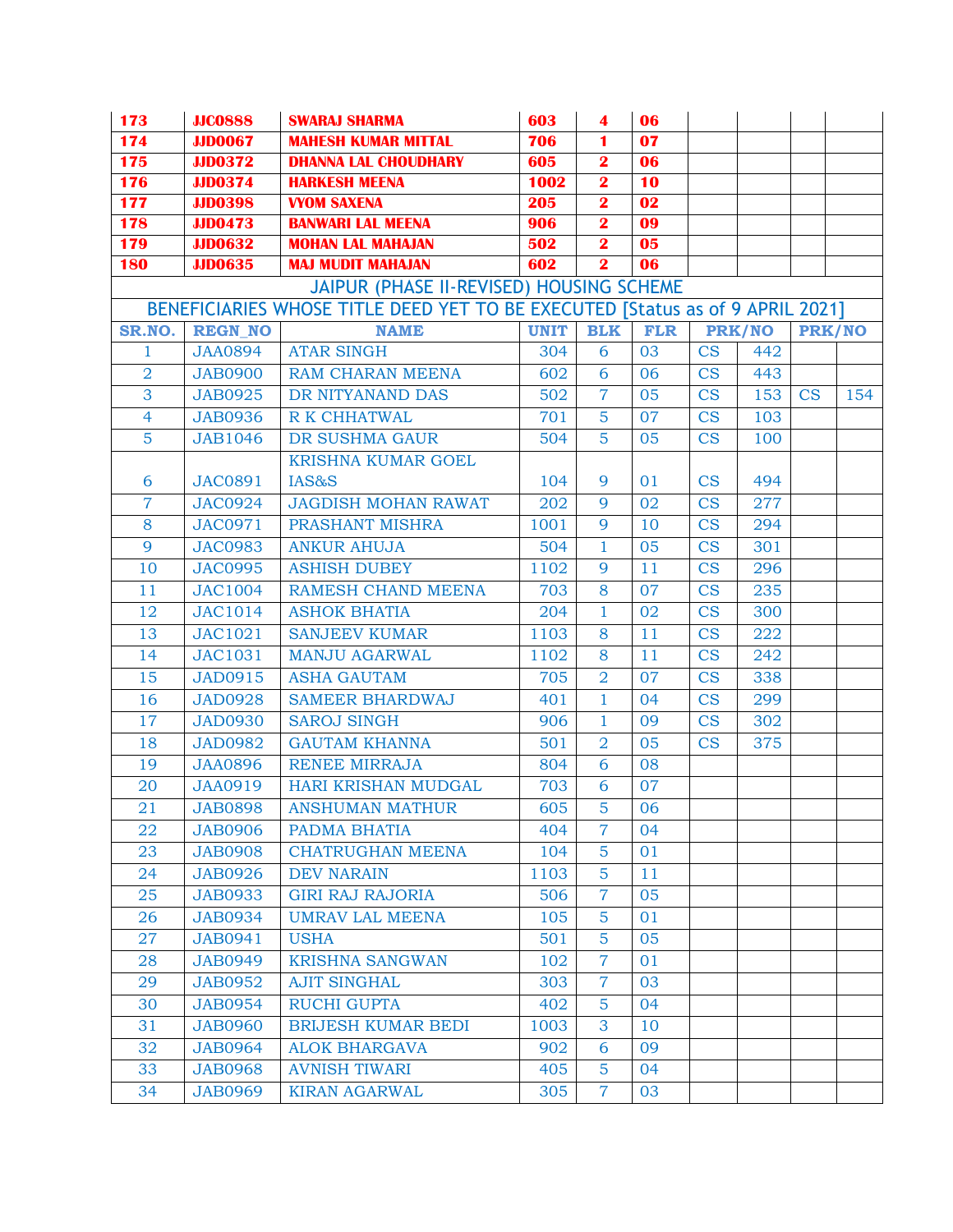| 173                                      | <b>JJC0888</b> | <b>SWARAJ SHARMA</b>                                                          | 603         | 4                       | 06         |                        |               |               |     |  |  |
|------------------------------------------|----------------|-------------------------------------------------------------------------------|-------------|-------------------------|------------|------------------------|---------------|---------------|-----|--|--|
| 174                                      | <b>JJD0067</b> | <b>MAHESH KUMAR MITTAL</b>                                                    | 706         | 1                       | 07         |                        |               |               |     |  |  |
| 175                                      | <b>JJD0372</b> | <b>DHANNA LAL CHOUDHARY</b>                                                   | 605         | $\overline{\mathbf{2}}$ | 06         |                        |               |               |     |  |  |
| <b>176</b>                               | <b>JJD0374</b> | <b>HARKESH MEENA</b>                                                          | 1002        | $\overline{\mathbf{2}}$ | 10         |                        |               |               |     |  |  |
| <b>177</b>                               | <b>JJD0398</b> | <b>VYOM SAXENA</b>                                                            | 205         | $\overline{\mathbf{2}}$ | 02         |                        |               |               |     |  |  |
| <b>178</b>                               | <b>JJD0473</b> | <b>BANWARI LAL MEENA</b>                                                      | 906         | $\overline{\mathbf{2}}$ | 09         |                        |               |               |     |  |  |
| 179                                      | <b>JJD0632</b> | <b>MOHAN LAL MAHAJAN</b>                                                      | 502         | $\overline{\mathbf{2}}$ | 05         |                        |               |               |     |  |  |
| <b>180</b>                               | <b>JJD0635</b> | <b>MAJ MUDIT MAHAJAN</b>                                                      | 602         | $\overline{\mathbf{2}}$ | 06         |                        |               |               |     |  |  |
| JAIPUR (PHASE II-REVISED) HOUSING SCHEME |                |                                                                               |             |                         |            |                        |               |               |     |  |  |
|                                          |                | BENEFICIARIES WHOSE TITLE DEED YET TO BE EXECUTED [Status as of 9 APRIL 2021] |             |                         |            |                        |               |               |     |  |  |
| SR.NO.                                   | <b>REGN NO</b> | <b>NAME</b>                                                                   | <b>UNIT</b> | <b>BLK</b>              | <b>FLR</b> |                        | <b>PRK/NO</b> | <b>PRK/NO</b> |     |  |  |
| 1                                        | <b>JAA0894</b> | <b>ATAR SINGH</b>                                                             | 304         | 6                       | 03         | $\overline{\text{CS}}$ | 442           |               |     |  |  |
| $\overline{2}$                           | <b>JAB0900</b> | <b>RAM CHARAN MEENA</b>                                                       | 602         | 6                       | 06         | CS                     | 443           |               |     |  |  |
| 3                                        | <b>JAB0925</b> | DR NITYANAND DAS                                                              | 502         | $\overline{7}$          | 05         | $\overline{\text{CS}}$ | 153           | CS            | 154 |  |  |
| $\overline{4}$                           | <b>JAB0936</b> | <b>R K CHHATWAL</b>                                                           | 701         | 5                       | 07         | <b>CS</b>              | 103           |               |     |  |  |
| $\overline{5}$                           | <b>JAB1046</b> | DR SUSHMA GAUR                                                                | 504         | $\overline{5}$          | 05         | CS                     | 100           |               |     |  |  |
|                                          |                | <b>KRISHNA KUMAR GOEL</b>                                                     |             |                         |            |                        |               |               |     |  |  |
| 6                                        | <b>JAC0891</b> | IAS&S                                                                         | 104         | 9                       | 01         | CS                     | 494           |               |     |  |  |
| $\overline{7}$                           | <b>JAC0924</b> | <b>JAGDISH MOHAN RAWAT</b>                                                    | 202         | 9                       | 02         | CS                     | 277           |               |     |  |  |
| 8                                        | <b>JAC0971</b> | PRASHANT MISHRA                                                               | 1001        | 9                       | 10         | $\overline{\text{CS}}$ | 294           |               |     |  |  |
| 9                                        | <b>JAC0983</b> | <b>ANKUR AHUJA</b>                                                            | 504         | $\mathbf{1}$            | 05         | <b>CS</b>              | 301           |               |     |  |  |
| 10                                       | <b>JAC0995</b> | <b>ASHISH DUBEY</b>                                                           | 1102        | 9                       | 11         | <b>CS</b>              | 296           |               |     |  |  |
| 11                                       | <b>JAC1004</b> | <b>RAMESH CHAND MEENA</b>                                                     | 703         | 8                       | 07         | CS                     | 235           |               |     |  |  |
| 12                                       | <b>JAC1014</b> | <b>ASHOK BHATIA</b>                                                           | 204         | $\mathbf{1}$            | 02         | <b>CS</b>              | 300           |               |     |  |  |
| 13                                       | <b>JAC1021</b> | <b>SANJEEV KUMAR</b>                                                          | 1103        | 8                       | 11         | CS                     | 222           |               |     |  |  |
| 14                                       | JAC1031        | <b>MANJU AGARWAL</b>                                                          | 1102        | 8                       | 11         | <b>CS</b>              | 242           |               |     |  |  |
| 15                                       | <b>JAD0915</b> | <b>ASHA GAUTAM</b>                                                            | 705         | $\overline{2}$          | 07         | <b>CS</b>              | 338           |               |     |  |  |
| 16                                       | <b>JAD0928</b> | <b>SAMEER BHARDWAJ</b>                                                        | 401         | $\mathbf{1}$            | 04         | CS                     | 299           |               |     |  |  |
| 17                                       | <b>JAD0930</b> | <b>SAROJ SINGH</b>                                                            | 906         | $\mathbf{1}$            | 09         | CS                     | 302           |               |     |  |  |
| 18                                       | <b>JAD0982</b> | <b>GAUTAM KHANNA</b>                                                          | 501         | $\overline{2}$          | 05         | $\overline{\text{CS}}$ | 375           |               |     |  |  |
| 19                                       | <b>JAA0896</b> | <b>RENEE MIRRAJA</b>                                                          | 804         | 6                       | 08         |                        |               |               |     |  |  |
| 20                                       | <b>JAA0919</b> | HARI KRISHAN MUDGAL                                                           | 703         | 6                       | 07         |                        |               |               |     |  |  |
| 21                                       | <b>JAB0898</b> | <b>ANSHUMAN MATHUR</b>                                                        | 605         | $\overline{5}$          | 06         |                        |               |               |     |  |  |
| 22                                       | <b>JAB0906</b> | PADMA BHATIA                                                                  | 404         | 7                       | 04         |                        |               |               |     |  |  |
| 23                                       | <b>JAB0908</b> | <b>CHATRUGHAN MEENA</b>                                                       | 104         | 5                       | 01         |                        |               |               |     |  |  |
| 24                                       | <b>JAB0926</b> | <b>DEV NARAIN</b>                                                             | 1103        | 5                       | 11         |                        |               |               |     |  |  |
| 25                                       | <b>JAB0933</b> | <b>GIRI RAJ RAJORIA</b>                                                       | 506         | 7                       | 05         |                        |               |               |     |  |  |
| 26                                       | <b>JAB0934</b> | <b>UMRAV LAL MEENA</b>                                                        | 105         | 5                       | 01         |                        |               |               |     |  |  |
| 27                                       | <b>JAB0941</b> | <b>USHA</b>                                                                   | 501         | 5                       | 05         |                        |               |               |     |  |  |
| 28                                       | <b>JAB0949</b> | <b>KRISHNA SANGWAN</b>                                                        | 102         | 7                       | 01         |                        |               |               |     |  |  |
| 29                                       | <b>JAB0952</b> | <b>AJIT SINGHAL</b>                                                           | 303         | $\overline{7}$          | 03         |                        |               |               |     |  |  |
| 30                                       | <b>JAB0954</b> | <b>RUCHI GUPTA</b>                                                            | 402         | 5                       | 04         |                        |               |               |     |  |  |
| 31                                       | <b>JAB0960</b> | <b>BRIJESH KUMAR BEDI</b>                                                     | 1003        | 3                       | 10         |                        |               |               |     |  |  |
| 32                                       | <b>JAB0964</b> | <b>ALOK BHARGAVA</b>                                                          | 902         | 6                       | 09         |                        |               |               |     |  |  |
| 33                                       | <b>JAB0968</b> | <b>AVNISH TIWARI</b>                                                          | 405         | 5                       | 04         |                        |               |               |     |  |  |
| 34                                       | <b>JAB0969</b> | <b>KIRAN AGARWAL</b>                                                          | 305         | $\overline{7}$          | 03         |                        |               |               |     |  |  |